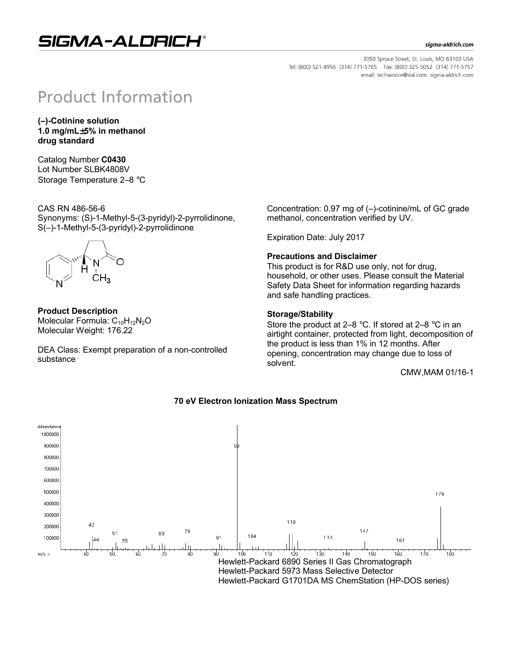## SIGMA-ALDRICH®

#### sigma-aldrich.com

3050 Spruce Street, St. Louis, MO 63103 USA Tel: (800) 521-8956 (314) 771-5765 Fax: (800) 325-5052 (314) 771-5757 email: techservice@sial.com sigma-aldrich.com

# **Product Information**

**(–)-Cotinine solution 1.0 mg/mL**±**5% in methanol drug standard**

Catalog Number **C0430** Lot Number SLBK4808V Storage Temperature 2–8 °C

CAS RN 486-56-6 Synonyms: (S)-1-Methyl-5-(3-pyridyl)-2-pyrrolidinone, S(–)-1-Methyl-5-(3-pyridyl)-2-pyrrolidinone



**Product Description** Molecular Formula:  $C_{10}H_{12}N_2O$ Molecular Weight: 176.22

DEA Class: Exempt preparation of a non-controlled substance

Concentration: 0.97 mg of (–)-cotinine/mL of GC grade methanol, concentration verified by UV.

Expiration Date: July 2017

#### **Precautions and Disclaimer**

This product is for R&D use only, not for drug, household, or other uses. Please consult the Material Safety Data Sheet for information regarding hazards and safe handling practices.

#### **Storage/Stability**

Store the product at 2–8 °C. If stored at 2–8 °C in an airtight container, protected from light, decomposition of the product is less than 1% in 12 months. After opening, concentration may change due to loss of solvent.

CMW,MAM 01/16-1



#### **70 eV Electron Ionization Mass Spectrum**